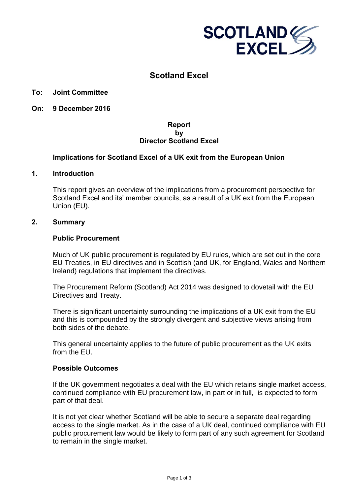

# **Scotland Excel**

### **To: Joint Committee**

**On: 9 December 2016** 

# **Report by Director Scotland Excel**

# **Implications for Scotland Excel of a UK exit from the European Union**

#### **1. Introduction**

This report gives an overview of the implications from a procurement perspective for Scotland Excel and its' member councils, as a result of a UK exit from the European Union (EU).

# **2. Summary**

#### **Public Procurement**

Much of UK public procurement is regulated by EU rules, which are set out in the core EU Treaties, in EU directives and in Scottish (and UK, for England, Wales and Northern Ireland) regulations that implement the directives.

The Procurement Reform (Scotland) Act 2014 was designed to dovetail with the EU Directives and Treaty.

There is significant uncertainty surrounding the implications of a UK exit from the EU and this is compounded by the strongly divergent and subjective views arising from both sides of the debate.

This general uncertainty applies to the future of public procurement as the UK exits from the FU.

#### **Possible Outcomes**

If the UK government negotiates a deal with the EU which retains single market access, continued compliance with EU procurement law, in part or in full, is expected to form part of that deal.

It is not yet clear whether Scotland will be able to secure a separate deal regarding access to the single market. As in the case of a UK deal, continued compliance with EU public procurement law would be likely to form part of any such agreement for Scotland to remain in the single market.